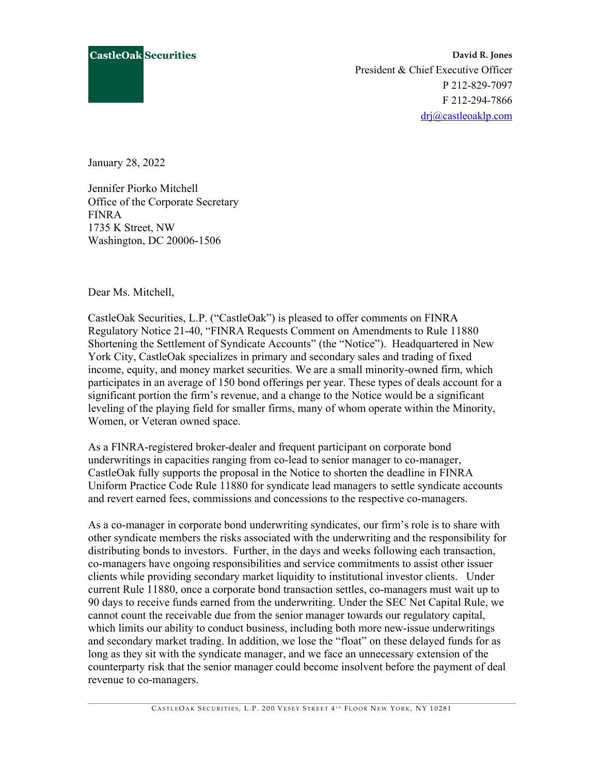

**David R. Jones** President & Chief Executive Officer P 212-829-7097 F 212-294-7866 [drj@castleoaklp.com](mailto:drj@castleoaklp.com)

January 28, 2022

Jennifer Piorko Mitchell Office of the Corporate Secretary FINRA 1735 K Street, NW Washington, DC 20006-1506

Dear Ms. Mitchell,

CastleOak Securities, L.P. ("CastleOak") is pleased to offer comments on FINRA Regulatory Notice 21-40, "FINRA Requests Comment on Amendments to Rule 11880 Shortening the Settlement of Syndicate Accounts" (the "Notice"). Headquartered in New York City, CastleOak specializes in primary and secondary sales and trading of fixed income, equity, and money market securities. We are a small minority-owned firm, which participates in an average of 150 bond offerings per year. These types of deals account for a significant portion the firm's revenue, and a change to the Notice would be a significant leveling of the playing field for smaller firms, many of whom operate within the Minority, Women, or Veteran owned space.

As a FINRA-registered broker-dealer and frequent participant on corporate bond underwritings in capacities ranging from co-lead to senior manager to co-manager, CastleOak fully supports the proposal in the Notice to shorten the deadline in FINRA Uniform Practice Code Rule 11880 for syndicate lead managers to settle syndicate accounts and revert earned fees, commissions and concessions to the respective co-managers.

As a co-manager in corporate bond underwriting syndicates, our firm's role is to share with other syndicate members the risks associated with the underwriting and the responsibility for distributing bonds to investors. Further, in the days and weeks following each transaction, co-managers have ongoing responsibilities and service commitments to assist other issuer clients while providing secondary market liquidity to institutional investor clients. Under current Rule 11880, once a corporate bond transaction settles, co-managers must wait up to 90 days to receive funds earned from the underwriting. Under the SEC Net Capital Rule, we cannot count the receivable due from the senior manager towards our regulatory capital, which limits our ability to conduct business, including both more new-issue underwritings and secondary market trading. In addition, we lose the "float" on these delayed funds for as long as they sit with the syndicate manager, and we face an unnecessary extension of the counterparty risk that the senior manager could become insolvent before the payment of deal revenue to co-managers.